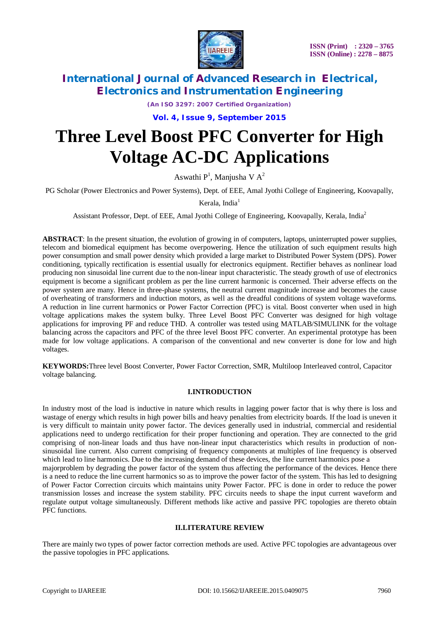

*(An ISO 3297: 2007 Certified Organization)*

**Vol. 4, Issue 9, September 2015**

# **Three Level Boost PFC Converter for High Voltage AC-DC Applications**

Aswathi P<sup>1</sup>, Manjusha V A<sup>2</sup>

PG Scholar (Power Electronics and Power Systems), Dept. of EEE, Amal Jyothi College of Engineering, Koovapally,

Kerala, India $<sup>1</sup>$ </sup>

Assistant Professor, Dept. of EEE, Amal Jyothi College of Engineering, Koovapally, Kerala, India<sup>2</sup>

**ABSTRACT**: In the present situation, the evolution of growing in of computers, laptops, uninterrupted power supplies, telecom and biomedical equipment has become overpowering. Hence the utilization of such equipment results high power consumption and small power density which provided a large market to Distributed Power System (DPS). Power conditioning, typically rectification is essential usually for electronics equipment. Rectifier behaves as nonlinear load producing non sinusoidal line current due to the non-linear input characteristic. The steady growth of use of electronics equipment is become a significant problem as per the line current harmonic is concerned. Their adverse effects on the power system are many. Hence in three-phase systems, the neutral current magnitude increase and becomes the cause of overheating of transformers and induction motors, as well as the dreadful conditions of system voltage waveforms. A reduction in line current harmonics or Power Factor Correction (PFC) is vital. Boost converter when used in high voltage applications makes the system bulky. Three Level Boost PFC Converter was designed for high voltage applications for improving PF and reduce THD. A controller was tested using MATLAB/SIMULINK for the voltage balancing across the capacitors and PFC of the three level Boost PFC converter. An experimental prototype has been made for low voltage applications. A comparison of the conventional and new converter is done for low and high voltages.

**KEYWORDS:**Three level Boost Converter, Power Factor Correction, SMR, Multiloop Interleaved control, Capacitor voltage balancing.

### **I.INTRODUCTION**

In industry most of the load is inductive in nature which results in lagging power factor that is why there is loss and wastage of energy which results in high power bills and heavy penalties from electricity boards. If the load is uneven it is very difficult to maintain unity power factor. The devices generally used in industrial, commercial and residential applications need to undergo rectification for their proper functioning and operation. They are connected to the grid comprising of non-linear loads and thus have non-linear input characteristics which results in production of nonsinusoidal line current. Also current comprising of frequency components at multiples of line frequency is observed which lead to line harmonics. Due to the increasing demand of these devices, the line current harmonics pose a majorproblem by degrading the power factor of the system thus affecting the performance of the devices. Hence there is a need to reduce the line current harmonics so as to improve the power factor of the system. This has led to designing of Power Factor Correction circuits which maintains unity Power Factor. PFC is done in order to reduce the power transmission losses and increase the system stability. PFC circuits needs to shape the input current waveform and regulate output voltage simultaneously. Different methods like active and passive PFC topologies are thereto obtain PFC functions.

#### **II.LITERATURE REVIEW**

There are mainly two types of power factor correction methods are used. Active PFC topologies are advantageous over the passive topologies in PFC applications.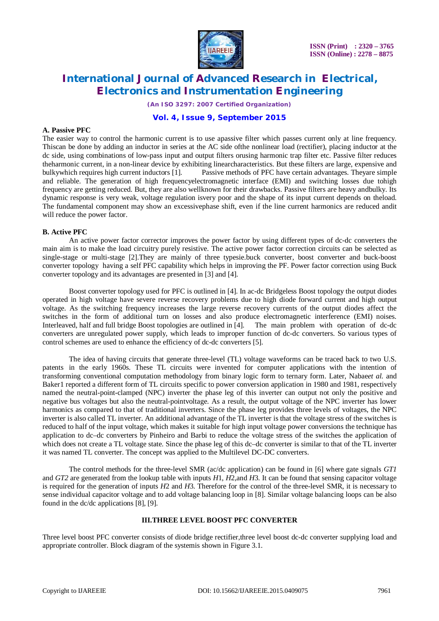

*(An ISO 3297: 2007 Certified Organization)*

### **Vol. 4, Issue 9, September 2015**

#### **A. Passive PFC**

The easier way to control the harmonic current is to use apassive filter which passes current only at line frequency. Thiscan be done by adding an inductor in series at the AC side ofthe nonlinear load (rectifier), placing inductor at the dc side, using combinations of low-pass input and output filters orusing harmonic trap filter etc. Passive filter reduces theharmonic current, in a non-linear device by exhibiting linearcharacteristics. But these filters are large, expensive and bulkywhich requires high current inductors [1]. Passive methods of PFC have certain advantages. Theyare simple and reliable. The generation of high frequencyelectromagnetic interface (EMI) and switching losses due tohigh frequency are getting reduced. But, they are also wellknown for their drawbacks. Passive filters are heavy andbulky. Its dynamic response is very weak, voltage regulation isvery poor and the shape of its input current depends on theload. The fundamental component may show an excessivephase shift, even if the line current harmonics are reduced andit will reduce the power factor.

#### **B. Active PFC**

An active power factor corrector improves the power factor by using different types of dc-dc converters the main aim is to make the load circuitry purely resistive. The active power factor correction circuits can be selected as single-stage or multi-stage [2].They are mainly of three typesie.buck converter, boost converter and buck-boost converter topology having a self PFC capability which helps in improving the PF. Power factor correction using Buck converter topology and its advantages are presented in [3] and [4].

Boost converter topology used for PFC is outlined in [4]. In ac-dc Bridgeless Boost topology the output diodes operated in high voltage have severe reverse recovery problems due to high diode forward current and high output voltage. As the switching frequency increases the large reverse recovery currents of the output diodes affect the switches in the form of additional turn on losses and also produce electromagnetic interference (EMI) noises. Interleaved, half and full bridge Boost topologies are outlined in [4]. The main problem with operation of dc-dc converters are unregulated power supply, which leads to improper function of dc-dc converters. So various types of control schemes are used to enhance the efficiency of dc-dc converters [5].

The idea of having circuits that generate three-level (TL) voltage waveforms can be traced back to two U.S. patents in the early 1960s. These TL circuits were invented for computer applications with the intention of transforming conventional computation methodology from binary logic form to ternary form. Later, Nabae*et al.* and Baker1 reported a different form of TL circuits specific to power conversion application in 1980 and 1981, respectively named the neutral-point-clamped (NPC) inverter the phase leg of this inverter can output not only the positive and negative bus voltages but also the neutral-pointvoltage. As a result, the output voltage of the NPC inverter has lower harmonics as compared to that of traditional inverters. Since the phase leg provides three levels of voltages, the NPC inverter is also called TL inverter. An additional advantage of the TL inverter is that the voltage stress of the switches is reduced to half of the input voltage, which makes it suitable for high input voltage power conversions the technique has application to dc–dc converters by Pinheiro and Barbi to reduce the voltage stress of the switches the application of which does not create a TL voltage state. Since the phase leg of this dc–dc converter is similar to that of the TL inverter it was named TL converter. The concept was applied to the Multilevel DC-DC converters.

The control methods for the three-level SMR (ac/dc application) can be found in [6] where gate signals *GT1*  and *GT2* are generated from the lookup table with inputs *H*1, *H*2,and *H*3. It can be found that sensing capacitor voltage is required for the generation of inputs *H*2 and *H*3. Therefore for the control of the three-level SMR, it is necessary to sense individual capacitor voltage and to add voltage balancing loop in [8]. Similar voltage balancing loops can be also found in the dc/dc applications [8], [9].

### **III.THREE LEVEL BOOST PFC CONVERTER**

Three level boost PFC converter consists of diode bridge rectifier,three level boost dc-dc converter supplying load and appropriate controller. Block diagram of the systemis shown in Figure 3.1.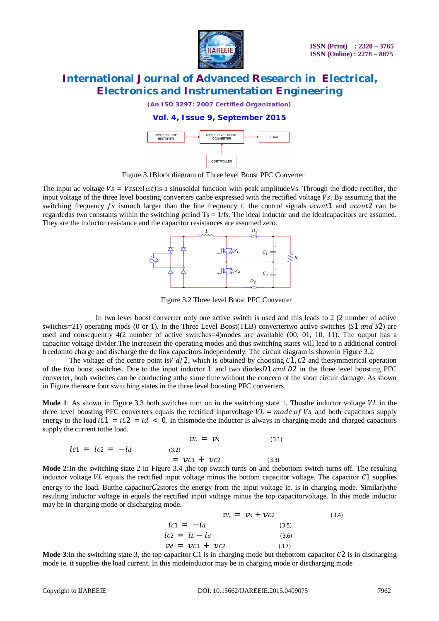

*(An ISO 3297: 2007 Certified Organization)*

### **Vol. 4, Issue 9, September 2015**



Figure 3.1Block diagram of Three level Boost PFC Converter

The input ac voltage  $Vs = Vssin(\omega t)$  is a sinusoidal function with peak amplitudeVs. Through the diode rectifier, the input voltage of the three level boosting converters canbe expressed with the rectified voltage Vs. By assuming that the switching frequency  $fs$  ismuch larger than the line frequency f, the control signals  $\nu cont1$  and  $\nu cont2$  can be regardedas two constants within the switching period  $Ts = 1/fs$ . The ideal inductor and the idealcapacitors are assumed. They are the inductor resistance and the capacitor resistances are assumed zero.



Figure 3.2 Three level Boost PFC Converter

In two level boost converter only one active switch is used and this leads to 2 (2 number of active switches=21) operating mods (0 or 1). In the Three Level Boost(TLB) convertertwo active switches (S1 and S2) are used and consequently 4(2 number of active switches=4)modes are available (00, 01, 10, 11). The output has a capacitor voltage divider.The increasein the operating modes and thus switching states will lead to n additional control freedomto charge and discharge the dc link capacitors independently. The circuit diagram is shownin Figure 3.2.

The voltage of the centre point is $V d/2$ , which is obtained by choosing C1, C2 and thesymmetrical operation of the two boost switches. Due to the input inductor L and two diodes $D1$  and  $D2$  in the three level boosting PFC converter, both switches can be conducting atthe same time without the concern of the short circuit damage. As shown in Figure thereare four switching states in the three level boosting PFC converters.

**Mode 1**: As shown in Figure 3.3 both switches turn on in the switching state 1. Thus the inductor voltage  $VL$  in the three level boosting PFC converters equals the rectified inputvoltage  $VL = mode$  of  $Vs$  and both capacitors supply energy to the load  $iC_1 = iC_2 = id < 0$ . In thismode the inductor is always in charging mode and charged capacitors supply the current tothe load.

$$
\mathcal{V}L = \mathcal{V}_S \tag{3.1}
$$
  
\n
$$
ic1 = ic2 = -id \tag{3.2}
$$
  
\n
$$
= \mathcal{V}c1 + \mathcal{V}c2 \tag{3.3}
$$
  
\nIn the switching state 2 in Figure 3.4, the top suitable turns on and the

**Mode 2:**In the switching state 2 in Figure 3.4 ,the top switch turns on and thebottom switch turns off. The resulting inductor voltage  $VL$  equals the rectified input voltage minus the bottom capacitor voltage. The capacitor  $C1$  supplies energy to the load. Butthe capacitor  $C$ 2stores the energy from the input voltage ie. is in charging mode. Similarlythe resulting inductor voltage in equals the rectified input voltage minus the top capacitorvoltage. In this mode inductor may be in charging mode or discharging mode.

$$
\mathcal{V}L = \mathcal{V}s + \mathcal{V}c2 \tag{3.4}
$$
  
\n
$$
ic1 = -id \tag{3.5}
$$
  
\n
$$
ic2 = iL - id \tag{3.6}
$$
  
\n
$$
\mathcal{V}d = \mathcal{V}c1 + \mathcal{V}c2 \tag{3.7}
$$
  
\n
$$
cancitor \text{ } C1 \text{ is in chargino mode but the bottom capacitor } C2 \text{.}
$$

**Mode 3**: In the switching state 3, the top capacitor C1 is in charging mode but thebottom capacitor C2 is in discharging mode ie. it supplies the load current. In this modeinductor may be in charging mode or discharging mode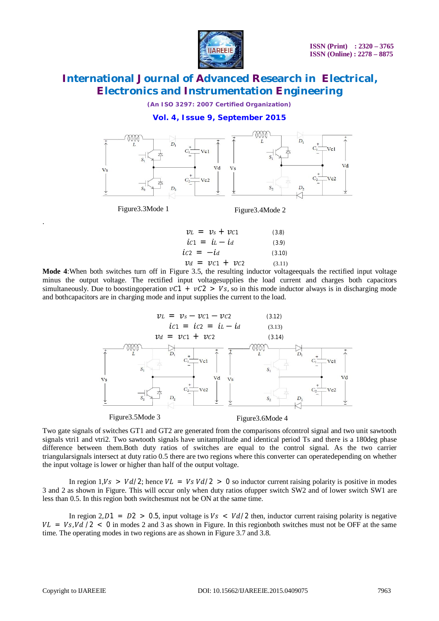

*(An ISO 3297: 2007 Certified Organization)*

**Vol. 4, Issue 9, September 2015**



Figure3.3Mode 1

.

Figure3.4Mode 2

$$
\begin{aligned}\n\mathcal{V}L &= \mathcal{V}_S + \mathcal{V}C1 & (3.8) \\
\dot{L}C1 &= \dot{L} - \dot{L}d & (3.9) \\
\dot{L}C2 &= -\dot{L}d & (3.10) \\
\mathcal{V}d &= \mathcal{V}C1 + \mathcal{V}C2 & (3.11)\n\end{aligned}
$$

**Mode 4**:When both switches turn off in Figure 3.5, the resulting inductor voltageequals the rectified input voltage minus the output voltage. The rectified input voltagesupplies the load current and charges both capacitors simultaneously. Due to boosting operation  $vC_1 + vC_2 > V_s$ , so in this mode inductor always is in discharging mode and bothcapacitors are in charging mode and input supplies the current to the load.



Figure3.5Mode 3

Figure3.6Mode 4

Two gate signals of switches GT1 and GT2 are generated from the comparisons ofcontrol signal and two unit sawtooth signals vtri1 and vtri2. Two sawtooth signals have unitamplitude and identical period Ts and there is a 180deg phase difference between them.Both duty ratios of switches are equal to the control signal. As the two carrier triangularsignals intersect at duty ratio 0.5 there are two regions where this converter can operatedepending on whether the input voltage is lower or higher than half of the output voltage.

In region  $1, V_s > Vd/2$ ; hence  $VL = Vs Vd/2 > 0$  so inductor current raising polarity is positive in modes 3 and 2 as shown in Figure. This will occur only when duty ratios ofupper switch SW2 and of lower switch SW1 are less than 0.5. In this region both switchesmust not be ON at the same time.

In region 2,  $D1 = D2 > 0.5$ , input voltage is  $Vs < Vd/2$  then, inductor current raising polarity is negative  $VL = Vs$ ,  $Vd/2 < 0$  in modes 2 and 3 as shown in Figure. In this regionboth switches must not be OFF at the same time. The operating modes in two regions are as shown in Figure 3.7 and 3.8.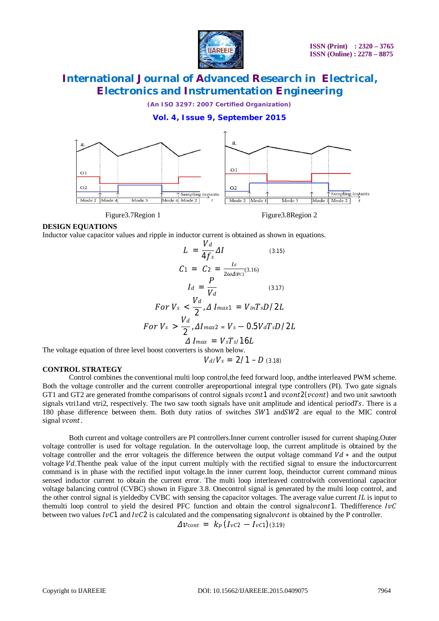

*(An ISO 3297: 2007 Certified Organization)*

### **Vol. 4, Issue 9, September 2015**



Figure 3.7 Region 1 Figure 3.8 Region 2

#### **DESIGN EQUATIONS**

Inductor value capacitor values and ripple in inductor current is obtained as shown in equations.

$$
L = \frac{V_d}{4f_s} \Delta I
$$
 (3.15)  
\n
$$
C_1 = C_2 = \frac{I_d}{2\omega \Delta v c_1} (3.16)
$$
  
\n
$$
I_d = \frac{P}{V_d}
$$
 (3.17)  
\nFor  $V_s < \frac{V_d}{2}$ ,  $\Delta I_{max1} = V_{in}T_sD/2L$   
\nFor  $V_s > \frac{V_d}{2}$ ,  $\Delta I_{max2} = V_s - 0.5V_dT_sD/2L$   
\n $\Delta I_{max} = V_sT_s/16L$   
\n1 boost converges is shown below:

The voltage equation of three level boost converters is shown below.

$$
V_d/V_s = 2/1 - D \ (3.18)
$$

#### **CONTROL STRATEGY**

Control combines the conventional multi loop control,the feed forward loop, andthe interleaved PWM scheme. Both the voltage controller and the current controller areproportional integral type controllers (PI). Two gate signals GT1 and GT2 are generated fromthe comparisons of control signals vcont1 and vcont2(vcont) and two unit sawtooth signals vtri1and vtri2, respectively. The two saw tooth signals have unit amplitude and identical period $Ts$ . There is a 180 phase difference between them. Both duty ratios of switches SW1 and SW2 are equal to the MIC control signal vcont.

Both current and voltage controllers are PI controllers.Inner current controller isused for current shaping.Outer voltage controller is used for voltage regulation. In the outervoltage loop, the current amplitude is obtained by the voltage controller and the error voltageis the difference between the output voltage command  $Vd*$  and the output voltage Vd. Then the peak value of the input current multiply with the rectified signal to ensure the inductorcurrent command is in phase with the rectified input voltage.In the inner current loop, theinductor current command minus sensed inductor current to obtain the current error. The multi loop interleaved controlwith conventional capacitor voltage balancing control (CVBC) shown in Figure 3.8. Onecontrol signal is generated by the multi loop control, and the other control signal is yieldedby CVBC with sensing the capacitor voltages. The average value current  $IL$  is input to themulti loop control to yield the desired PFC function and obtain the control signaly control. The difference  $I\nu C$ between two values  $IvC1$  and  $IvC2$  is calculated and the compensating signaly *cont* is obtained by the P controller.

$$
\Delta v_{cont} = k_p \left( I_{\nu C2} - I_{\nu C1} \right) (3.19)
$$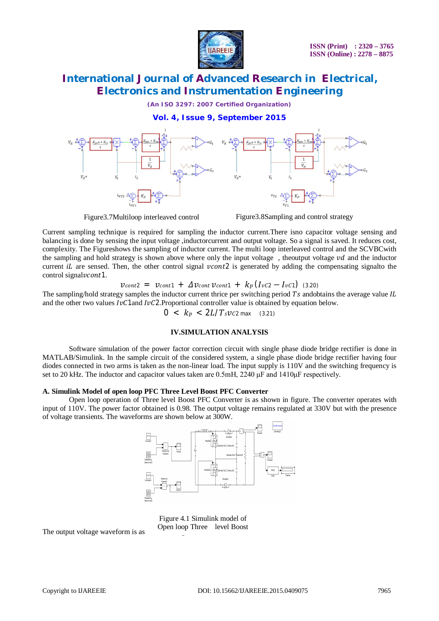

*(An ISO 3297: 2007 Certified Organization)*

**Vol. 4, Issue 9, September 2015**



Figure3.7Multiloop interleaved control Figure3.8Sampling and control strategy

Current sampling technique is required for sampling the inductor current.There isno capacitor voltage sensing and balancing is done by sensing the input voltage ,inductorcurrent and output voltage. So a signal is saved. It reduces cost, complexity. The Figureshows the sampling of inductor current. The multi loop interleaved control and the SCVBCwith the sampling and hold strategy is shown above where only the input voltage, theoutput voltage  $\nu d$  and the inductor current *iL* are sensed. Then, the other control signal  $vcont2$  is generated by adding the compensating signalto the control signal *v*cont<sup>1</sup>.

 $v_{cont2} = v_{cont1} + \Delta v_{cont} v_{cont1} + k_p (I_{\nu C2} - I_{\nu C1})$  (3.20)

The sampling/hold strategy samples the inductor current thrice per switching period Ts andobtains the average value  $IL$ and the other two values  $I\nu C1$  and  $I\nu C2$ . Proportional controller value is obtained by equation below.

 $0 \leq k_p \leq 2L/T_s$ 

### **IV.SIMULATION ANALYSIS**

Software simulation of the power factor correction circuit with single phase diode bridge rectifier is done in MATLAB/Simulink. In the sample circuit of the considered system, a single phase diode bridge rectifier having four diodes connected in two arms is taken as the non-linear load. The input supply is 110V and the switching frequency is set to 20 kHz. The inductor and capacitor values taken are 0.5mH, 2240 μF and 1410μF respectively.

#### **A. Simulink Model of open loop PFC Three Level Boost PFC Converter**

Open loop operation of Three level Boost PFC Converter is as shown in figure. The converter operates with input of 110V. The power factor obtained is 0.98. The output voltage remains regulated at 330V but with the presence of voltage transients. The waveforms are shown below at 300W.



Figure 4.1 Simulink model of Open loop Three level Boost

The output voltage waveform is as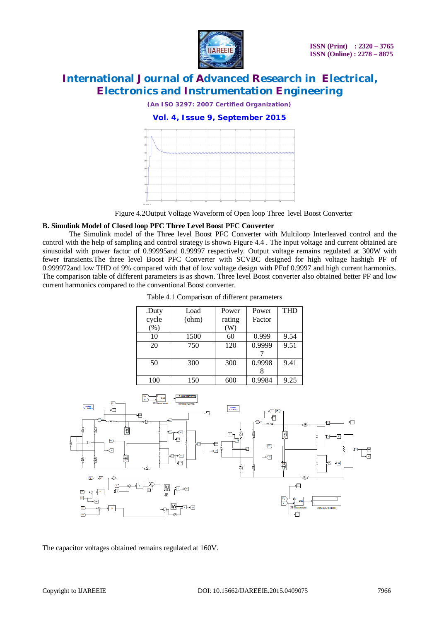

*(An ISO 3297: 2007 Certified Organization)*

**Vol. 4, Issue 9, September 2015**



Figure 4.2Output Voltage Waveform of Open loop Three level Boost Converter

#### **B. Simulink Model of Closed loop PFC Three Level Boost PFC Converter**

The Simulink model of the Three level Boost PFC Converter with Multiloop Interleaved control and the control with the help of sampling and control strategy is shown Figure 4.4 . The input voltage and current obtained are sinusoidal with power factor of 0.99995and 0.99997 respectively. Output voltage remains regulated at 300W with fewer transients.The three level Boost PFC Converter with SCVBC designed for high voltage hashigh PF of 0.999972and low THD of 9% compared with that of low voltage design with PFof 0.9997 and high current harmonics. The comparison table of different parameters is as shown. Three level Boost converter also obtained better PF and low current harmonics compared to the conventional Boost converter.

| .Duty   | Load  | Power  | Power  | <b>THD</b> |
|---------|-------|--------|--------|------------|
| cycle   | (ohm) | rating | Factor |            |
| $(\% )$ |       | W)     |        |            |
| 10      | 1500  | 60     | 0.999  | 9.54       |
| 20      | 750   | 120    | 0.9999 | 9.51       |
|         |       |        |        |            |
| 50      | 300   | 300    | 0.9998 | 9.41       |
|         |       |        |        |            |
| 100     | 150   | 600    | 0.9984 | 9.25       |

Table 4.1 Comparison of different parameters



The capacitor voltages obtained remains regulated at 160V.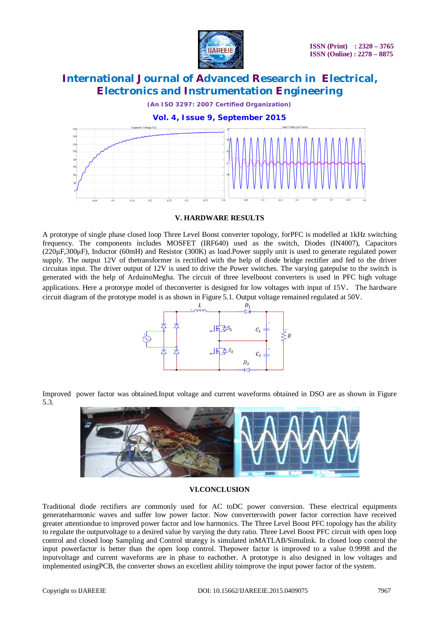

*(An ISO 3297: 2007 Certified Organization)*



**V. HARDWARE RESULTS**

A prototype of single phase closed loop Three Level Boost converter topology, forPFC is modelled at 1kHz switching frequency. The components includes MOSFET (IRF640) used as the switch, Diodes (IN4007), Capacitors (220μF,300μF), Inductor (60mH) and Resistor (300K) as load.Power supply unit is used to generate regulated power supply. The output 12V of thetransformer is rectified with the help of diode bridge rectifier and fed to the driver circuitas input. The driver output of 12V is used to drive the Power switches. The varying gatepulse to the switch is generated with the help of ArduinoMegha. The circuit of three levelboost converters is used in PFC high voltage applications. Here a prototype model of theconverter is designed for low voltages with input of 15V. The hardware circuit diagram of the prototype model is as shown in Figure 5.1. Output voltage remained regulated at 50V.



Improved power factor was obtained.Input voltage and current waveforms obtained in DSO are as shown in Figure 5.3.



### **VI.CONCLUSION**

Traditional diode rectifiers are commonly used for AC toDC power conversion. These electrical equipments generateharmonic waves and suffer low power factor. Now converterswith power factor correction have received greater attentiondue to improved power factor and low harmonics. The Three Level Boost PFC topology has the ability to regulate the outputvoltage to a desired value by varying the duty ratio. Three Level Boost PFC circuit with open loop control and closed loop Sampling and Control strategy is simulated inMATLAB/Simulink. In closed loop control the input powerfactor is better than the open loop control. Thepower factor is improved to a value 0.9998 and the inputvoltage and current waveforms are in phase to eachother. A prototype is also designed in low voltages and implemented usingPCB, the converter shows an excellent ability toimprove the input power factor of the system.